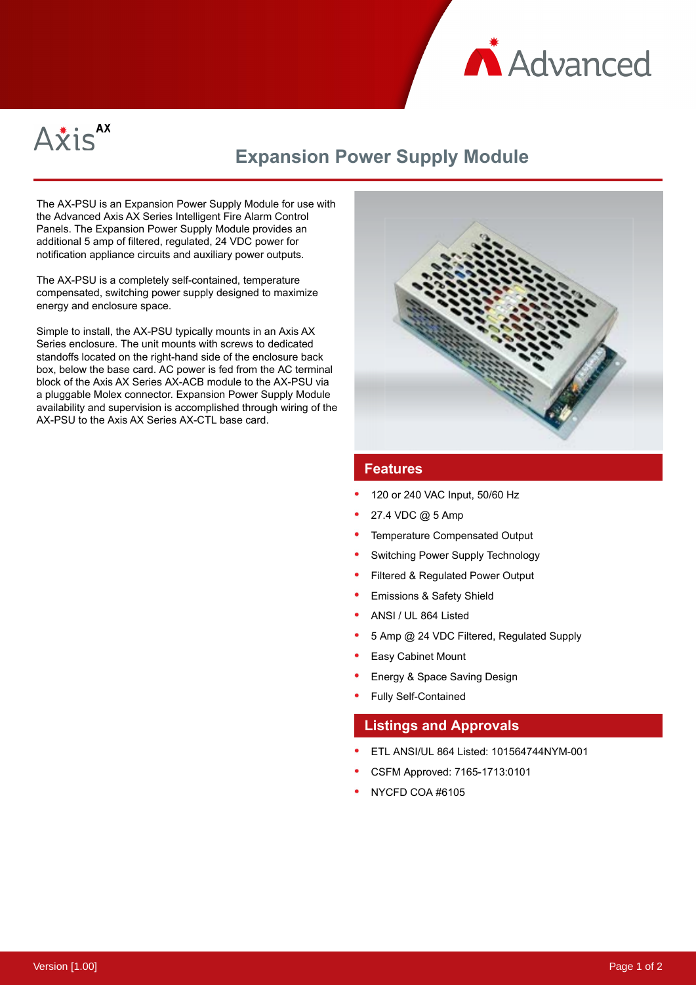



## **Expansion Power Supply Module**

The AX-PSU is an Expansion Power Supply Module for use with the Advanced Axis AX Series Intelligent Fire Alarm Control Panels. The Expansion Power Supply Module provides an additional 5 amp of filtered, regulated, 24 VDC power for notification appliance circuits and auxiliary power outputs.

The AX-PSU is a completely self-contained, temperature compensated, switching power supply designed to maximize energy and enclosure space.

Simple to install, the AX-PSU typically mounts in an Axis AX Series enclosure. The unit mounts with screws to dedicated standoffs located on the right-hand side of the enclosure back box, below the base card. AC power is fed from the AC terminal block of the Axis AX Series AX-ACB module to the AX-PSU via a pluggable Molex connector. Expansion Power Supply Module availability and supervision is accomplished through wiring of the AX-PSU to the Axis AX Series AX-CTL base card.



## **Features**

- 120 or 240 VAC Input, 50/60 Hz
- 27.4 VDC @ 5 Amp
- Temperature Compensated Output
- Switching Power Supply Technology
- Filtered & Regulated Power Output
- Emissions & Safety Shield
- ANSI / UL 864 Listed
- 5 Amp @ 24 VDC Filtered, Regulated Supply
- Easy Cabinet Mount
- Energy & Space Saving Design
- Fully Self-Contained

## **Listings and Approvals**

- ETL ANSI/UL 864 Listed: 101564744NYM-001
- CSFM Approved: 7165-1713:0101
- NYCFD COA #6105